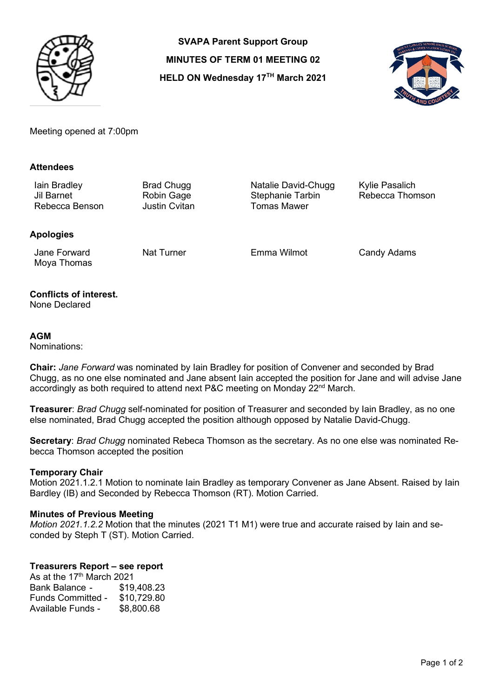

**SVAPA Parent Support Group MINUTES OF TERM 01 MEETING 02 HELD ON Wednesday 17TH March 2021**



Meeting opened at 7:00pm

### **Attendees**

Iain Bradley Brad Chugg Natalie David-Chugg Kylie Pasalich Rebecca Benson

Robin Gage Stephanie Tarbin Rebecca Thomson<br>Justin Cvitan Tomas Mawer

## **Apologies**

Jane Forward Moya Thomas

Nat Turner **Emma Wilmot** Candy Adams

# **Conflicts of interest.**

None Declared

### **AGM**

Nominations:

**Chair:** *Jane Forward* was nominated by Iain Bradley for position of Convener and seconded by Brad Chugg, as no one else nominated and Jane absent Iain accepted the position for Jane and will advise Jane accordingly as both required to attend next P&C meeting on Monday  $22<sup>nd</sup>$  March.

**Treasurer**: *Brad Chugg* self-nominated for position of Treasurer and seconded by Iain Bradley, as no one else nominated, Brad Chugg accepted the position although opposed by Natalie David-Chugg.

**Secretary**: *Brad Chugg* nominated Rebeca Thomson as the secretary. As no one else was nominated Rebecca Thomson accepted the position

#### **Temporary Chair**

Motion 2021.1.2.1 Motion to nominate Iain Bradley as temporary Convener as Jane Absent. Raised by Iain Bardley (IB) and Seconded by Rebecca Thomson (RT). Motion Carried.

#### **Minutes of Previous Meeting**

*Motion 2021.1.2.2* Motion that the minutes (2021 T1 M1) were true and accurate raised by Iain and seconded by Steph T (ST). Motion Carried.

## **Treasurers Report – see report**

As at the 17<sup>th</sup> March 2021 Bank Balance - \$19,408.23 Funds Committed - \$10,729.80 Available Funds - \$8,800.68